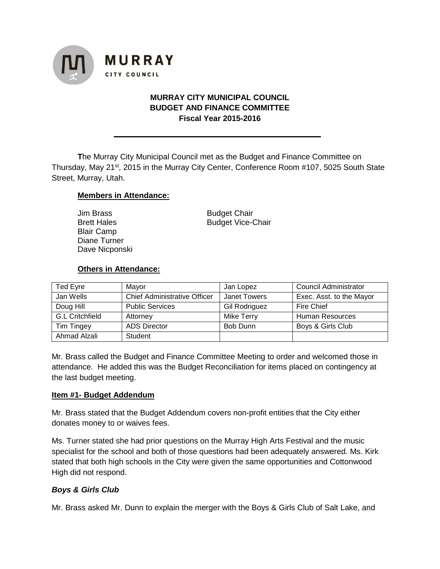

### **MURRAY CITY MUNICIPAL COUNCIL BUDGET AND FINANCE COMMITTEE Fiscal Year 2015-2016**

**T**he Murray City Municipal Council met as the Budget and Finance Committee on Thursday, May 21<sup>st</sup>, 2015 in the Murray City Center, Conference Room #107, 5025 South State Street, Murray, Utah.

#### **Members in Attendance:**

Jim Brass Budget Chair Blair Camp Diane Turner Dave Nicponski

Brett Hales **Budget Vice-Chair** 

#### **Others in Attendance:**

| Ted Eyre               | Mayor                               | Jan Lopez            | Council Administrator    |
|------------------------|-------------------------------------|----------------------|--------------------------|
| Jan Wells              | <b>Chief Administrative Officer</b> | Janet Towers         | Exec. Asst. to the Mayor |
| Doug Hill              | <b>Public Services</b>              | <b>Gil Rodriguez</b> | <b>Fire Chief</b>        |
| <b>G.L Critchfield</b> | Attorney                            | <b>Mike Terry</b>    | <b>Human Resources</b>   |
| <b>Tim Tingey</b>      | <b>ADS Director</b>                 | Bob Dunn             | Boys & Girls Club        |
| Ahmad Alzali           | Student                             |                      |                          |

Mr. Brass called the Budget and Finance Committee Meeting to order and welcomed those in attendance. He added this was the Budget Reconciliation for items placed on contingency at the last budget meeting.

#### **Item #1- Budget Addendum**

Mr. Brass stated that the Budget Addendum covers non-profit entities that the City either donates money to or waives fees.

Ms. Turner stated she had prior questions on the Murray High Arts Festival and the music specialist for the school and both of those questions had been adequately answered. Ms. Kirk stated that both high schools in the City were given the same opportunities and Cottonwood High did not respond.

### *Boys & Girls Club*

Mr. Brass asked Mr. Dunn to explain the merger with the Boys & Girls Club of Salt Lake, and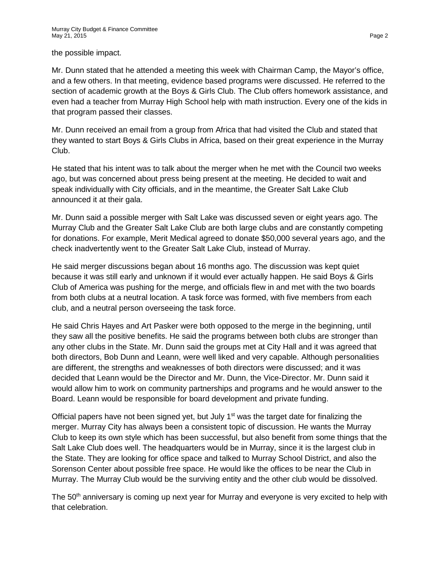the possible impact.

Mr. Dunn stated that he attended a meeting this week with Chairman Camp, the Mayor's office, and a few others. In that meeting, evidence based programs were discussed. He referred to the section of academic growth at the Boys & Girls Club. The Club offers homework assistance, and even had a teacher from Murray High School help with math instruction. Every one of the kids in that program passed their classes.

Mr. Dunn received an email from a group from Africa that had visited the Club and stated that they wanted to start Boys & Girls Clubs in Africa, based on their great experience in the Murray Club.

He stated that his intent was to talk about the merger when he met with the Council two weeks ago, but was concerned about press being present at the meeting. He decided to wait and speak individually with City officials, and in the meantime, the Greater Salt Lake Club announced it at their gala.

Mr. Dunn said a possible merger with Salt Lake was discussed seven or eight years ago. The Murray Club and the Greater Salt Lake Club are both large clubs and are constantly competing for donations. For example, Merit Medical agreed to donate \$50,000 several years ago, and the check inadvertently went to the Greater Salt Lake Club, instead of Murray.

He said merger discussions began about 16 months ago. The discussion was kept quiet because it was still early and unknown if it would ever actually happen. He said Boys & Girls Club of America was pushing for the merge, and officials flew in and met with the two boards from both clubs at a neutral location. A task force was formed, with five members from each club, and a neutral person overseeing the task force.

He said Chris Hayes and Art Pasker were both opposed to the merge in the beginning, until they saw all the positive benefits. He said the programs between both clubs are stronger than any other clubs in the State. Mr. Dunn said the groups met at City Hall and it was agreed that both directors, Bob Dunn and Leann, were well liked and very capable. Although personalities are different, the strengths and weaknesses of both directors were discussed; and it was decided that Leann would be the Director and Mr. Dunn, the Vice-Director. Mr. Dunn said it would allow him to work on community partnerships and programs and he would answer to the Board. Leann would be responsible for board development and private funding.

Official papers have not been signed yet, but July  $1<sup>st</sup>$  was the target date for finalizing the merger. Murray City has always been a consistent topic of discussion. He wants the Murray Club to keep its own style which has been successful, but also benefit from some things that the Salt Lake Club does well. The headquarters would be in Murray, since it is the largest club in the State. They are looking for office space and talked to Murray School District, and also the Sorenson Center about possible free space. He would like the offices to be near the Club in Murray. The Murray Club would be the surviving entity and the other club would be dissolved.

The  $50<sup>th</sup>$  anniversary is coming up next year for Murray and everyone is very excited to help with that celebration.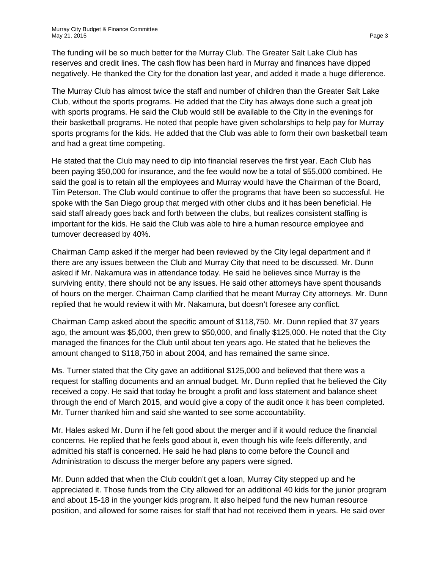The funding will be so much better for the Murray Club. The Greater Salt Lake Club has reserves and credit lines. The cash flow has been hard in Murray and finances have dipped negatively. He thanked the City for the donation last year, and added it made a huge difference.

The Murray Club has almost twice the staff and number of children than the Greater Salt Lake Club, without the sports programs. He added that the City has always done such a great job with sports programs. He said the Club would still be available to the City in the evenings for their basketball programs. He noted that people have given scholarships to help pay for Murray sports programs for the kids. He added that the Club was able to form their own basketball team and had a great time competing.

He stated that the Club may need to dip into financial reserves the first year. Each Club has been paying \$50,000 for insurance, and the fee would now be a total of \$55,000 combined. He said the goal is to retain all the employees and Murray would have the Chairman of the Board, Tim Peterson. The Club would continue to offer the programs that have been so successful. He spoke with the San Diego group that merged with other clubs and it has been beneficial. He said staff already goes back and forth between the clubs, but realizes consistent staffing is important for the kids. He said the Club was able to hire a human resource employee and turnover decreased by 40%.

Chairman Camp asked if the merger had been reviewed by the City legal department and if there are any issues between the Club and Murray City that need to be discussed. Mr. Dunn asked if Mr. Nakamura was in attendance today. He said he believes since Murray is the surviving entity, there should not be any issues. He said other attorneys have spent thousands of hours on the merger. Chairman Camp clarified that he meant Murray City attorneys. Mr. Dunn replied that he would review it with Mr. Nakamura, but doesn't foresee any conflict.

Chairman Camp asked about the specific amount of \$118,750. Mr. Dunn replied that 37 years ago, the amount was \$5,000, then grew to \$50,000, and finally \$125,000. He noted that the City managed the finances for the Club until about ten years ago. He stated that he believes the amount changed to \$118,750 in about 2004, and has remained the same since.

Ms. Turner stated that the City gave an additional \$125,000 and believed that there was a request for staffing documents and an annual budget. Mr. Dunn replied that he believed the City received a copy. He said that today he brought a profit and loss statement and balance sheet through the end of March 2015, and would give a copy of the audit once it has been completed. Mr. Turner thanked him and said she wanted to see some accountability.

Mr. Hales asked Mr. Dunn if he felt good about the merger and if it would reduce the financial concerns. He replied that he feels good about it, even though his wife feels differently, and admitted his staff is concerned. He said he had plans to come before the Council and Administration to discuss the merger before any papers were signed.

Mr. Dunn added that when the Club couldn't get a loan, Murray City stepped up and he appreciated it. Those funds from the City allowed for an additional 40 kids for the junior program and about 15-18 in the younger kids program. It also helped fund the new human resource position, and allowed for some raises for staff that had not received them in years. He said over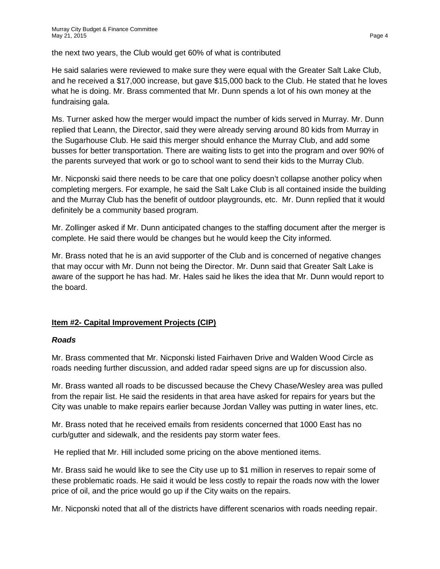the next two years, the Club would get 60% of what is contributed

He said salaries were reviewed to make sure they were equal with the Greater Salt Lake Club, and he received a \$17,000 increase, but gave \$15,000 back to the Club. He stated that he loves what he is doing. Mr. Brass commented that Mr. Dunn spends a lot of his own money at the fundraising gala.

Ms. Turner asked how the merger would impact the number of kids served in Murray. Mr. Dunn replied that Leann, the Director, said they were already serving around 80 kids from Murray in the Sugarhouse Club. He said this merger should enhance the Murray Club, and add some busses for better transportation. There are waiting lists to get into the program and over 90% of the parents surveyed that work or go to school want to send their kids to the Murray Club.

Mr. Nicponski said there needs to be care that one policy doesn't collapse another policy when completing mergers. For example, he said the Salt Lake Club is all contained inside the building and the Murray Club has the benefit of outdoor playgrounds, etc. Mr. Dunn replied that it would definitely be a community based program.

Mr. Zollinger asked if Mr. Dunn anticipated changes to the staffing document after the merger is complete. He said there would be changes but he would keep the City informed.

Mr. Brass noted that he is an avid supporter of the Club and is concerned of negative changes that may occur with Mr. Dunn not being the Director. Mr. Dunn said that Greater Salt Lake is aware of the support he has had. Mr. Hales said he likes the idea that Mr. Dunn would report to the board.

# **Item #2- Capital Improvement Projects (CIP)**

### *Roads*

Mr. Brass commented that Mr. Nicponski listed Fairhaven Drive and Walden Wood Circle as roads needing further discussion, and added radar speed signs are up for discussion also.

Mr. Brass wanted all roads to be discussed because the Chevy Chase/Wesley area was pulled from the repair list. He said the residents in that area have asked for repairs for years but the City was unable to make repairs earlier because Jordan Valley was putting in water lines, etc.

Mr. Brass noted that he received emails from residents concerned that 1000 East has no curb/gutter and sidewalk, and the residents pay storm water fees.

He replied that Mr. Hill included some pricing on the above mentioned items.

Mr. Brass said he would like to see the City use up to \$1 million in reserves to repair some of these problematic roads. He said it would be less costly to repair the roads now with the lower price of oil, and the price would go up if the City waits on the repairs.

Mr. Nicponski noted that all of the districts have different scenarios with roads needing repair.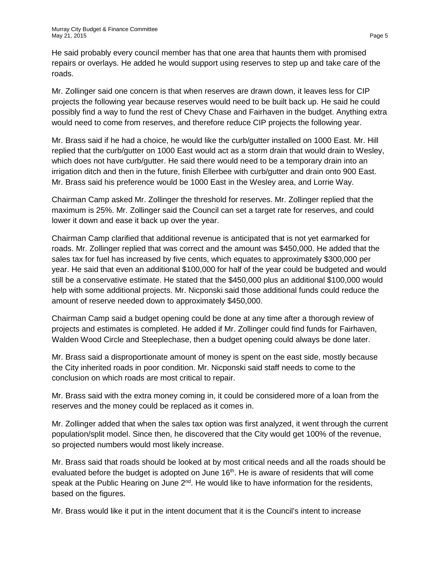He said probably every council member has that one area that haunts them with promised repairs or overlays. He added he would support using reserves to step up and take care of the roads.

Mr. Zollinger said one concern is that when reserves are drawn down, it leaves less for CIP projects the following year because reserves would need to be built back up. He said he could possibly find a way to fund the rest of Chevy Chase and Fairhaven in the budget. Anything extra would need to come from reserves, and therefore reduce CIP projects the following year.

Mr. Brass said if he had a choice, he would like the curb/gutter installed on 1000 East. Mr. Hill replied that the curb/gutter on 1000 East would act as a storm drain that would drain to Wesley, which does not have curb/gutter. He said there would need to be a temporary drain into an irrigation ditch and then in the future, finish Ellerbee with curb/gutter and drain onto 900 East. Mr. Brass said his preference would be 1000 East in the Wesley area, and Lorrie Way.

Chairman Camp asked Mr. Zollinger the threshold for reserves. Mr. Zollinger replied that the maximum is 25%. Mr. Zollinger said the Council can set a target rate for reserves, and could lower it down and ease it back up over the year.

Chairman Camp clarified that additional revenue is anticipated that is not yet earmarked for roads. Mr. Zollinger replied that was correct and the amount was \$450,000. He added that the sales tax for fuel has increased by five cents, which equates to approximately \$300,000 per year. He said that even an additional \$100,000 for half of the year could be budgeted and would still be a conservative estimate. He stated that the \$450,000 plus an additional \$100,000 would help with some additional projects. Mr. Nicponski said those additional funds could reduce the amount of reserve needed down to approximately \$450,000.

Chairman Camp said a budget opening could be done at any time after a thorough review of projects and estimates is completed. He added if Mr. Zollinger could find funds for Fairhaven, Walden Wood Circle and Steeplechase, then a budget opening could always be done later.

Mr. Brass said a disproportionate amount of money is spent on the east side, mostly because the City inherited roads in poor condition. Mr. Nicponski said staff needs to come to the conclusion on which roads are most critical to repair.

Mr. Brass said with the extra money coming in, it could be considered more of a loan from the reserves and the money could be replaced as it comes in.

Mr. Zollinger added that when the sales tax option was first analyzed, it went through the current population/split model. Since then, he discovered that the City would get 100% of the revenue, so projected numbers would most likely increase.

Mr. Brass said that roads should be looked at by most critical needs and all the roads should be evaluated before the budget is adopted on June 16<sup>th</sup>. He is aware of residents that will come speak at the Public Hearing on June  $2^{nd}$ . He would like to have information for the residents, based on the figures.

Mr. Brass would like it put in the intent document that it is the Council's intent to increase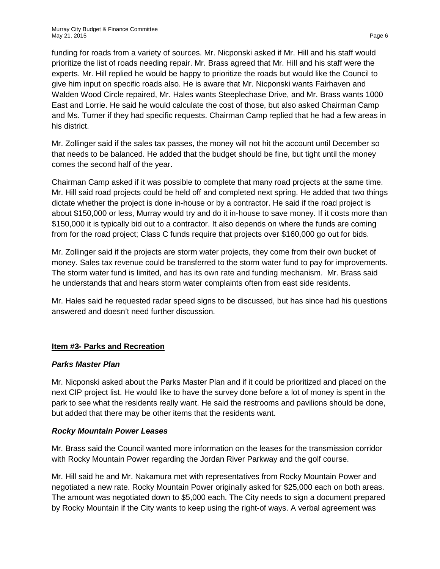funding for roads from a variety of sources. Mr. Nicponski asked if Mr. Hill and his staff would prioritize the list of roads needing repair. Mr. Brass agreed that Mr. Hill and his staff were the experts. Mr. Hill replied he would be happy to prioritize the roads but would like the Council to give him input on specific roads also. He is aware that Mr. Nicponski wants Fairhaven and Walden Wood Circle repaired, Mr. Hales wants Steeplechase Drive, and Mr. Brass wants 1000 East and Lorrie. He said he would calculate the cost of those, but also asked Chairman Camp and Ms. Turner if they had specific requests. Chairman Camp replied that he had a few areas in his district.

Mr. Zollinger said if the sales tax passes, the money will not hit the account until December so that needs to be balanced. He added that the budget should be fine, but tight until the money comes the second half of the year.

Chairman Camp asked if it was possible to complete that many road projects at the same time. Mr. Hill said road projects could be held off and completed next spring. He added that two things dictate whether the project is done in-house or by a contractor. He said if the road project is about \$150,000 or less, Murray would try and do it in-house to save money. If it costs more than \$150,000 it is typically bid out to a contractor. It also depends on where the funds are coming from for the road project; Class C funds require that projects over \$160,000 go out for bids.

Mr. Zollinger said if the projects are storm water projects, they come from their own bucket of money. Sales tax revenue could be transferred to the storm water fund to pay for improvements. The storm water fund is limited, and has its own rate and funding mechanism. Mr. Brass said he understands that and hears storm water complaints often from east side residents.

Mr. Hales said he requested radar speed signs to be discussed, but has since had his questions answered and doesn't need further discussion.

# **Item #3- Parks and Recreation**

### *Parks Master Plan*

Mr. Nicponski asked about the Parks Master Plan and if it could be prioritized and placed on the next CIP project list. He would like to have the survey done before a lot of money is spent in the park to see what the residents really want. He said the restrooms and pavilions should be done, but added that there may be other items that the residents want.

### *Rocky Mountain Power Leases*

Mr. Brass said the Council wanted more information on the leases for the transmission corridor with Rocky Mountain Power regarding the Jordan River Parkway and the golf course.

Mr. Hill said he and Mr. Nakamura met with representatives from Rocky Mountain Power and negotiated a new rate. Rocky Mountain Power originally asked for \$25,000 each on both areas. The amount was negotiated down to \$5,000 each. The City needs to sign a document prepared by Rocky Mountain if the City wants to keep using the right-of ways. A verbal agreement was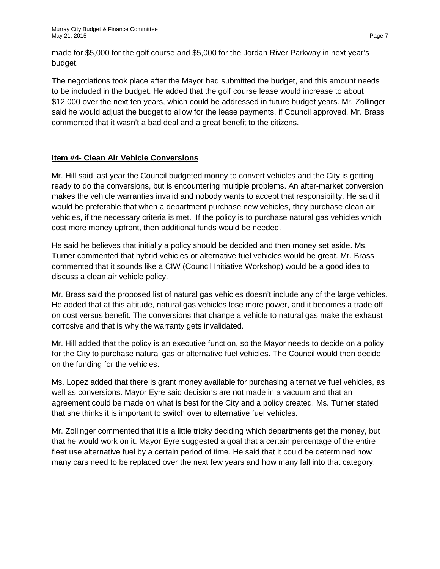made for \$5,000 for the golf course and \$5,000 for the Jordan River Parkway in next year's budget.

The negotiations took place after the Mayor had submitted the budget, and this amount needs to be included in the budget. He added that the golf course lease would increase to about \$12,000 over the next ten years, which could be addressed in future budget years. Mr. Zollinger said he would adjust the budget to allow for the lease payments, if Council approved. Mr. Brass commented that it wasn't a bad deal and a great benefit to the citizens.

## **Item #4- Clean Air Vehicle Conversions**

Mr. Hill said last year the Council budgeted money to convert vehicles and the City is getting ready to do the conversions, but is encountering multiple problems. An after-market conversion makes the vehicle warranties invalid and nobody wants to accept that responsibility. He said it would be preferable that when a department purchase new vehicles, they purchase clean air vehicles, if the necessary criteria is met. If the policy is to purchase natural gas vehicles which cost more money upfront, then additional funds would be needed.

He said he believes that initially a policy should be decided and then money set aside. Ms. Turner commented that hybrid vehicles or alternative fuel vehicles would be great. Mr. Brass commented that it sounds like a CIW (Council Initiative Workshop) would be a good idea to discuss a clean air vehicle policy.

Mr. Brass said the proposed list of natural gas vehicles doesn't include any of the large vehicles. He added that at this altitude, natural gas vehicles lose more power, and it becomes a trade off on cost versus benefit. The conversions that change a vehicle to natural gas make the exhaust corrosive and that is why the warranty gets invalidated.

Mr. Hill added that the policy is an executive function, so the Mayor needs to decide on a policy for the City to purchase natural gas or alternative fuel vehicles. The Council would then decide on the funding for the vehicles.

Ms. Lopez added that there is grant money available for purchasing alternative fuel vehicles, as well as conversions. Mayor Eyre said decisions are not made in a vacuum and that an agreement could be made on what is best for the City and a policy created. Ms. Turner stated that she thinks it is important to switch over to alternative fuel vehicles.

Mr. Zollinger commented that it is a little tricky deciding which departments get the money, but that he would work on it. Mayor Eyre suggested a goal that a certain percentage of the entire fleet use alternative fuel by a certain period of time. He said that it could be determined how many cars need to be replaced over the next few years and how many fall into that category.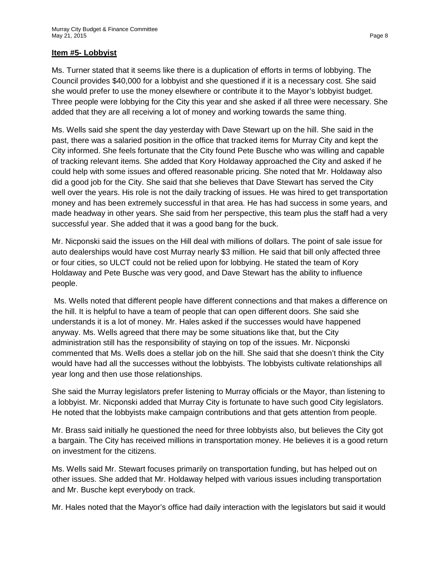#### **Item #5- Lobbyist**

Ms. Turner stated that it seems like there is a duplication of efforts in terms of lobbying. The Council provides \$40,000 for a lobbyist and she questioned if it is a necessary cost. She said she would prefer to use the money elsewhere or contribute it to the Mayor's lobbyist budget. Three people were lobbying for the City this year and she asked if all three were necessary. She added that they are all receiving a lot of money and working towards the same thing.

Ms. Wells said she spent the day yesterday with Dave Stewart up on the hill. She said in the past, there was a salaried position in the office that tracked items for Murray City and kept the City informed. She feels fortunate that the City found Pete Busche who was willing and capable of tracking relevant items. She added that Kory Holdaway approached the City and asked if he could help with some issues and offered reasonable pricing. She noted that Mr. Holdaway also did a good job for the City. She said that she believes that Dave Stewart has served the City well over the years. His role is not the daily tracking of issues. He was hired to get transportation money and has been extremely successful in that area. He has had success in some years, and made headway in other years. She said from her perspective, this team plus the staff had a very successful year. She added that it was a good bang for the buck.

Mr. Nicponski said the issues on the Hill deal with millions of dollars. The point of sale issue for auto dealerships would have cost Murray nearly \$3 million. He said that bill only affected three or four cities, so ULCT could not be relied upon for lobbying. He stated the team of Kory Holdaway and Pete Busche was very good, and Dave Stewart has the ability to influence people.

Ms. Wells noted that different people have different connections and that makes a difference on the hill. It is helpful to have a team of people that can open different doors. She said she understands it is a lot of money. Mr. Hales asked if the successes would have happened anyway. Ms. Wells agreed that there may be some situations like that, but the City administration still has the responsibility of staying on top of the issues. Mr. Nicponski commented that Ms. Wells does a stellar job on the hill. She said that she doesn't think the City would have had all the successes without the lobbyists. The lobbyists cultivate relationships all year long and then use those relationships.

She said the Murray legislators prefer listening to Murray officials or the Mayor, than listening to a lobbyist. Mr. Nicponski added that Murray City is fortunate to have such good City legislators. He noted that the lobbyists make campaign contributions and that gets attention from people.

Mr. Brass said initially he questioned the need for three lobbyists also, but believes the City got a bargain. The City has received millions in transportation money. He believes it is a good return on investment for the citizens.

Ms. Wells said Mr. Stewart focuses primarily on transportation funding, but has helped out on other issues. She added that Mr. Holdaway helped with various issues including transportation and Mr. Busche kept everybody on track.

Mr. Hales noted that the Mayor's office had daily interaction with the legislators but said it would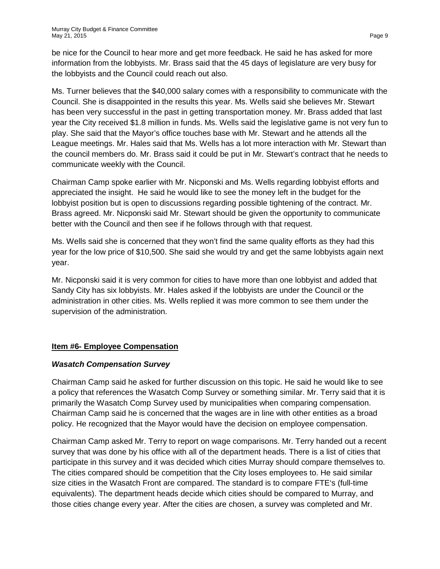be nice for the Council to hear more and get more feedback. He said he has asked for more information from the lobbyists. Mr. Brass said that the 45 days of legislature are very busy for the lobbyists and the Council could reach out also.

Ms. Turner believes that the \$40,000 salary comes with a responsibility to communicate with the Council. She is disappointed in the results this year. Ms. Wells said she believes Mr. Stewart has been very successful in the past in getting transportation money. Mr. Brass added that last year the City received \$1.8 million in funds. Ms. Wells said the legislative game is not very fun to play. She said that the Mayor's office touches base with Mr. Stewart and he attends all the League meetings. Mr. Hales said that Ms. Wells has a lot more interaction with Mr. Stewart than the council members do. Mr. Brass said it could be put in Mr. Stewart's contract that he needs to communicate weekly with the Council.

Chairman Camp spoke earlier with Mr. Nicponski and Ms. Wells regarding lobbyist efforts and appreciated the insight. He said he would like to see the money left in the budget for the lobbyist position but is open to discussions regarding possible tightening of the contract. Mr. Brass agreed. Mr. Nicponski said Mr. Stewart should be given the opportunity to communicate better with the Council and then see if he follows through with that request.

Ms. Wells said she is concerned that they won't find the same quality efforts as they had this year for the low price of \$10,500. She said she would try and get the same lobbyists again next year.

Mr. Nicponski said it is very common for cities to have more than one lobbyist and added that Sandy City has six lobbyists. Mr. Hales asked if the lobbyists are under the Council or the administration in other cities. Ms. Wells replied it was more common to see them under the supervision of the administration.

# **Item #6- Employee Compensation**

### *Wasatch Compensation Survey*

Chairman Camp said he asked for further discussion on this topic. He said he would like to see a policy that references the Wasatch Comp Survey or something similar. Mr. Terry said that it is primarily the Wasatch Comp Survey used by municipalities when comparing compensation. Chairman Camp said he is concerned that the wages are in line with other entities as a broad policy. He recognized that the Mayor would have the decision on employee compensation.

Chairman Camp asked Mr. Terry to report on wage comparisons. Mr. Terry handed out a recent survey that was done by his office with all of the department heads. There is a list of cities that participate in this survey and it was decided which cities Murray should compare themselves to. The cities compared should be competition that the City loses employees to. He said similar size cities in the Wasatch Front are compared. The standard is to compare FTE's (full-time equivalents). The department heads decide which cities should be compared to Murray, and those cities change every year. After the cities are chosen, a survey was completed and Mr.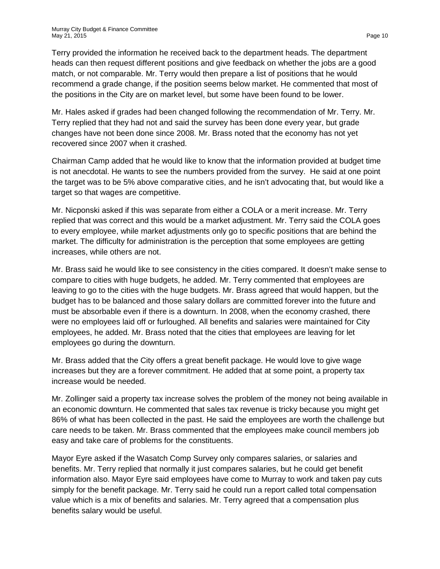Mr. Hales asked if grades had been changed following the recommendation of Mr. Terry. Mr. Terry replied that they had not and said the survey has been done every year, but grade changes have not been done since 2008. Mr. Brass noted that the economy has not yet recovered since 2007 when it crashed.

Chairman Camp added that he would like to know that the information provided at budget time is not anecdotal. He wants to see the numbers provided from the survey. He said at one point the target was to be 5% above comparative cities, and he isn't advocating that, but would like a target so that wages are competitive.

Mr. Nicponski asked if this was separate from either a COLA or a merit increase. Mr. Terry replied that was correct and this would be a market adjustment. Mr. Terry said the COLA goes to every employee, while market adjustments only go to specific positions that are behind the market. The difficulty for administration is the perception that some employees are getting increases, while others are not.

Mr. Brass said he would like to see consistency in the cities compared. It doesn't make sense to compare to cities with huge budgets, he added. Mr. Terry commented that employees are leaving to go to the cities with the huge budgets. Mr. Brass agreed that would happen, but the budget has to be balanced and those salary dollars are committed forever into the future and must be absorbable even if there is a downturn. In 2008, when the economy crashed, there were no employees laid off or furloughed. All benefits and salaries were maintained for City employees, he added. Mr. Brass noted that the cities that employees are leaving for let employees go during the downturn.

Mr. Brass added that the City offers a great benefit package. He would love to give wage increases but they are a forever commitment. He added that at some point, a property tax increase would be needed.

Mr. Zollinger said a property tax increase solves the problem of the money not being available in an economic downturn. He commented that sales tax revenue is tricky because you might get 86% of what has been collected in the past. He said the employees are worth the challenge but care needs to be taken. Mr. Brass commented that the employees make council members job easy and take care of problems for the constituents.

Mayor Eyre asked if the Wasatch Comp Survey only compares salaries, or salaries and benefits. Mr. Terry replied that normally it just compares salaries, but he could get benefit information also. Mayor Eyre said employees have come to Murray to work and taken pay cuts simply for the benefit package. Mr. Terry said he could run a report called total compensation value which is a mix of benefits and salaries. Mr. Terry agreed that a compensation plus benefits salary would be useful.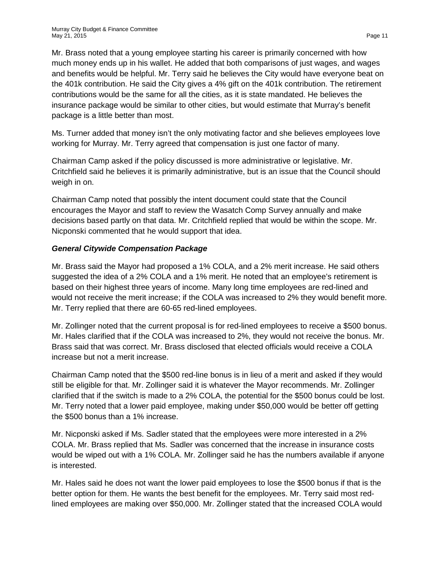Mr. Brass noted that a young employee starting his career is primarily concerned with how much money ends up in his wallet. He added that both comparisons of just wages, and wages and benefits would be helpful. Mr. Terry said he believes the City would have everyone beat on the 401k contribution. He said the City gives a 4% gift on the 401k contribution. The retirement contributions would be the same for all the cities, as it is state mandated. He believes the insurance package would be similar to other cities, but would estimate that Murray's benefit package is a little better than most.

Ms. Turner added that money isn't the only motivating factor and she believes employees love working for Murray. Mr. Terry agreed that compensation is just one factor of many.

Chairman Camp asked if the policy discussed is more administrative or legislative. Mr. Critchfield said he believes it is primarily administrative, but is an issue that the Council should weigh in on.

Chairman Camp noted that possibly the intent document could state that the Council encourages the Mayor and staff to review the Wasatch Comp Survey annually and make decisions based partly on that data. Mr. Critchfield replied that would be within the scope. Mr. Nicponski commented that he would support that idea.

## *General Citywide Compensation Package*

Mr. Brass said the Mayor had proposed a 1% COLA, and a 2% merit increase. He said others suggested the idea of a 2% COLA and a 1% merit. He noted that an employee's retirement is based on their highest three years of income. Many long time employees are red-lined and would not receive the merit increase; if the COLA was increased to 2% they would benefit more. Mr. Terry replied that there are 60-65 red-lined employees.

Mr. Zollinger noted that the current proposal is for red-lined employees to receive a \$500 bonus. Mr. Hales clarified that if the COLA was increased to 2%, they would not receive the bonus. Mr. Brass said that was correct. Mr. Brass disclosed that elected officials would receive a COLA increase but not a merit increase.

Chairman Camp noted that the \$500 red-line bonus is in lieu of a merit and asked if they would still be eligible for that. Mr. Zollinger said it is whatever the Mayor recommends. Mr. Zollinger clarified that if the switch is made to a 2% COLA, the potential for the \$500 bonus could be lost. Mr. Terry noted that a lower paid employee, making under \$50,000 would be better off getting the \$500 bonus than a 1% increase.

Mr. Nicponski asked if Ms. Sadler stated that the employees were more interested in a 2% COLA. Mr. Brass replied that Ms. Sadler was concerned that the increase in insurance costs would be wiped out with a 1% COLA. Mr. Zollinger said he has the numbers available if anyone is interested.

Mr. Hales said he does not want the lower paid employees to lose the \$500 bonus if that is the better option for them. He wants the best benefit for the employees. Mr. Terry said most redlined employees are making over \$50,000. Mr. Zollinger stated that the increased COLA would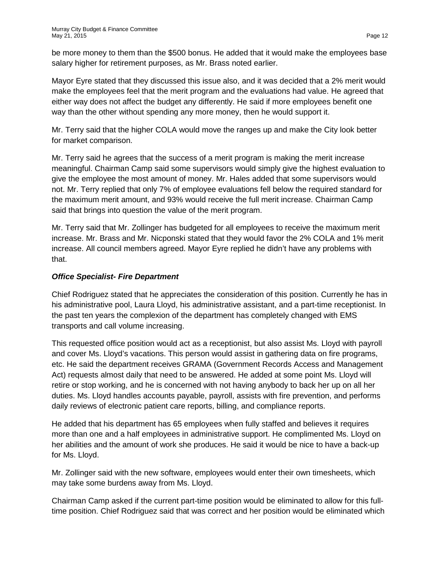be more money to them than the \$500 bonus. He added that it would make the employees base salary higher for retirement purposes, as Mr. Brass noted earlier.

Mayor Eyre stated that they discussed this issue also, and it was decided that a 2% merit would make the employees feel that the merit program and the evaluations had value. He agreed that either way does not affect the budget any differently. He said if more employees benefit one way than the other without spending any more money, then he would support it.

Mr. Terry said that the higher COLA would move the ranges up and make the City look better for market comparison.

Mr. Terry said he agrees that the success of a merit program is making the merit increase meaningful. Chairman Camp said some supervisors would simply give the highest evaluation to give the employee the most amount of money. Mr. Hales added that some supervisors would not. Mr. Terry replied that only 7% of employee evaluations fell below the required standard for the maximum merit amount, and 93% would receive the full merit increase. Chairman Camp said that brings into question the value of the merit program.

Mr. Terry said that Mr. Zollinger has budgeted for all employees to receive the maximum merit increase. Mr. Brass and Mr. Nicponski stated that they would favor the 2% COLA and 1% merit increase. All council members agreed. Mayor Eyre replied he didn't have any problems with that.

### *Office Specialist- Fire Department*

Chief Rodriguez stated that he appreciates the consideration of this position. Currently he has in his administrative pool, Laura Lloyd, his administrative assistant, and a part-time receptionist. In the past ten years the complexion of the department has completely changed with EMS transports and call volume increasing.

This requested office position would act as a receptionist, but also assist Ms. Lloyd with payroll and cover Ms. Lloyd's vacations. This person would assist in gathering data on fire programs, etc. He said the department receives GRAMA (Government Records Access and Management Act) requests almost daily that need to be answered. He added at some point Ms. Lloyd will retire or stop working, and he is concerned with not having anybody to back her up on all her duties. Ms. Lloyd handles accounts payable, payroll, assists with fire prevention, and performs daily reviews of electronic patient care reports, billing, and compliance reports.

He added that his department has 65 employees when fully staffed and believes it requires more than one and a half employees in administrative support. He complimented Ms. Lloyd on her abilities and the amount of work she produces. He said it would be nice to have a back-up for Ms. Lloyd.

Mr. Zollinger said with the new software, employees would enter their own timesheets, which may take some burdens away from Ms. Lloyd.

Chairman Camp asked if the current part-time position would be eliminated to allow for this fulltime position. Chief Rodriguez said that was correct and her position would be eliminated which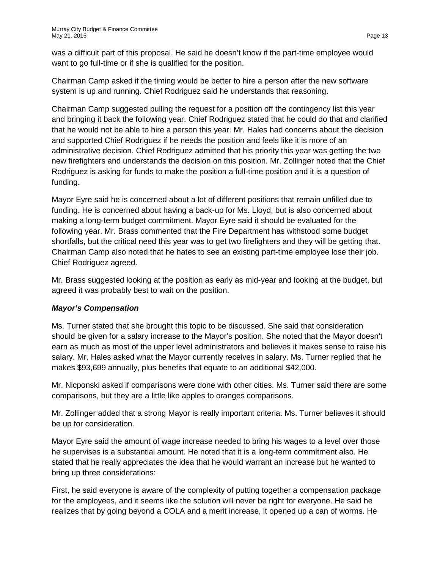was a difficult part of this proposal. He said he doesn't know if the part-time employee would want to go full-time or if she is qualified for the position.

Chairman Camp asked if the timing would be better to hire a person after the new software system is up and running. Chief Rodriguez said he understands that reasoning.

Chairman Camp suggested pulling the request for a position off the contingency list this year and bringing it back the following year. Chief Rodriguez stated that he could do that and clarified that he would not be able to hire a person this year. Mr. Hales had concerns about the decision and supported Chief Rodriguez if he needs the position and feels like it is more of an administrative decision. Chief Rodriguez admitted that his priority this year was getting the two new firefighters and understands the decision on this position. Mr. Zollinger noted that the Chief Rodriguez is asking for funds to make the position a full-time position and it is a question of funding.

Mayor Eyre said he is concerned about a lot of different positions that remain unfilled due to funding. He is concerned about having a back-up for Ms. Lloyd, but is also concerned about making a long-term budget commitment. Mayor Eyre said it should be evaluated for the following year. Mr. Brass commented that the Fire Department has withstood some budget shortfalls, but the critical need this year was to get two firefighters and they will be getting that. Chairman Camp also noted that he hates to see an existing part-time employee lose their job. Chief Rodriguez agreed.

Mr. Brass suggested looking at the position as early as mid-year and looking at the budget, but agreed it was probably best to wait on the position.

# *Mayor's Compensation*

Ms. Turner stated that she brought this topic to be discussed. She said that consideration should be given for a salary increase to the Mayor's position. She noted that the Mayor doesn't earn as much as most of the upper level administrators and believes it makes sense to raise his salary. Mr. Hales asked what the Mayor currently receives in salary. Ms. Turner replied that he makes \$93,699 annually, plus benefits that equate to an additional \$42,000.

Mr. Nicponski asked if comparisons were done with other cities. Ms. Turner said there are some comparisons, but they are a little like apples to oranges comparisons.

Mr. Zollinger added that a strong Mayor is really important criteria. Ms. Turner believes it should be up for consideration.

Mayor Eyre said the amount of wage increase needed to bring his wages to a level over those he supervises is a substantial amount. He noted that it is a long-term commitment also. He stated that he really appreciates the idea that he would warrant an increase but he wanted to bring up three considerations:

First, he said everyone is aware of the complexity of putting together a compensation package for the employees, and it seems like the solution will never be right for everyone. He said he realizes that by going beyond a COLA and a merit increase, it opened up a can of worms. He